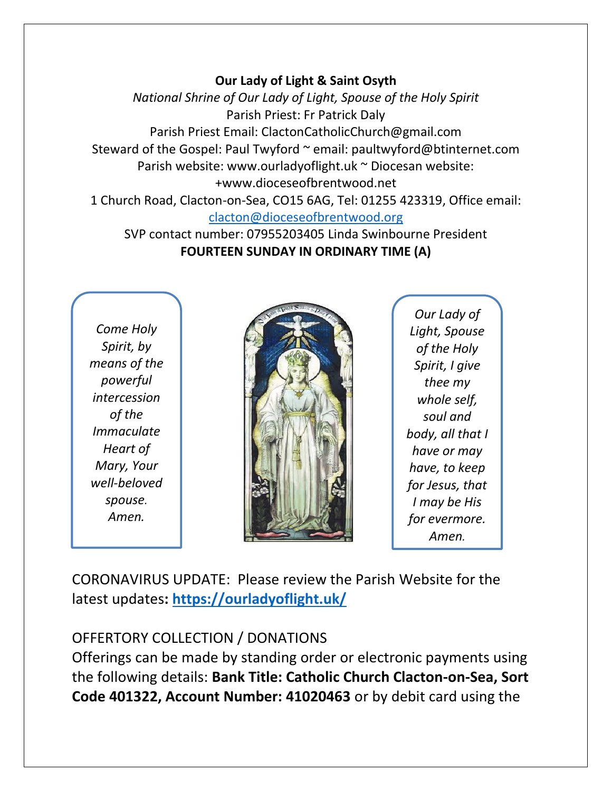## **Our Lady of Light & Saint Osyth**

*National Shrine of Our Lady of Light, Spouse of the Holy Spirit* Parish Priest: Fr Patrick Daly Parish Priest Email: ClactonCatholicChurch@gmail.com Steward of the Gospel: Paul Twyford ~ email: paultwyford@btinternet.com Parish website: www.ourladyoflight.uk ~ Diocesan website: +www.dioceseofbrentwood.net 1 Church Road, Clacton-on-Sea, CO15 6AG, Tel: 01255 423319, Office email:

[clacton@dioceseofbrentwood.org](mailto:clacton@dioceseofbrentwood.org)

SVP contact number: 07955203405 Linda Swinbourne President **FOURTEEN SUNDAY IN ORDINARY TIME (A)**

*Come Holy Spirit, by means of the powerful intercession of the Immaculate Heart of Mary, Your well-beloved spouse. Amen.*



*Our Lady of Light, Spouse of the Holy Spirit, I give thee my whole self, soul and body, all that I have or may have, to keep for Jesus, that I may be His for evermore. Amen.*

CORONAVIRUS UPDATE: Please review the Parish Website for the latest updates**:<https://ourladyoflight.uk/>**

## OFFERTORY COLLECTION / DONATIONS

Offerings can be made by standing order or electronic payments using the following details: **Bank Title: Catholic Church Clacton-on-Sea, Sort Code 401322, Account Number: 41020463** or by debit card using the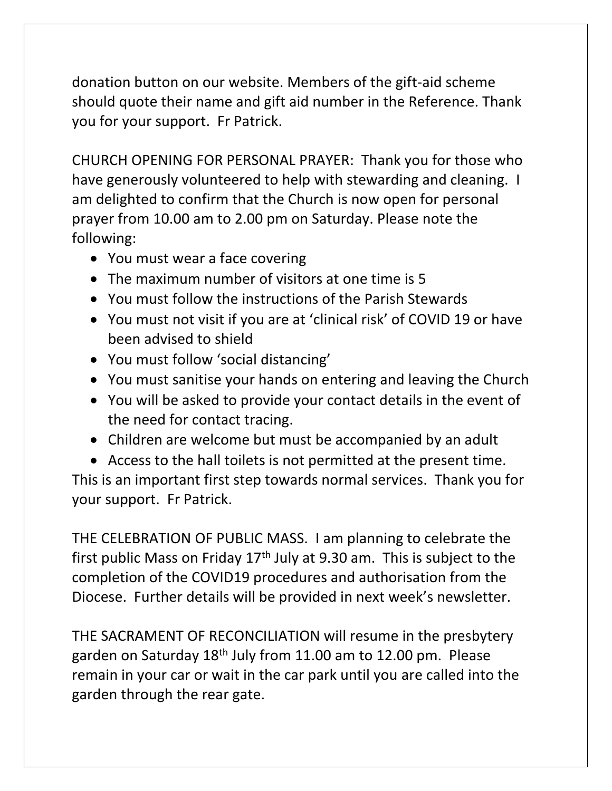donation button on our website. Members of the gift-aid scheme should quote their name and gift aid number in the Reference. Thank you for your support. Fr Patrick.

CHURCH OPENING FOR PERSONAL PRAYER: Thank you for those who have generously volunteered to help with stewarding and cleaning. I am delighted to confirm that the Church is now open for personal prayer from 10.00 am to 2.00 pm on Saturday. Please note the following:

- You must wear a face covering
- The maximum number of visitors at one time is 5
- You must follow the instructions of the Parish Stewards
- You must not visit if you are at 'clinical risk' of COVID 19 or have been advised to shield
- You must follow 'social distancing'
- You must sanitise your hands on entering and leaving the Church
- You will be asked to provide your contact details in the event of the need for contact tracing.
- Children are welcome but must be accompanied by an adult
- Access to the hall toilets is not permitted at the present time.

This is an important first step towards normal services. Thank you for your support. Fr Patrick.

THE CELEBRATION OF PUBLIC MASS. I am planning to celebrate the first public Mass on Friday  $17<sup>th</sup>$  July at 9.30 am. This is subject to the completion of the COVID19 procedures and authorisation from the Diocese. Further details will be provided in next week's newsletter.

THE SACRAMENT OF RECONCILIATION will resume in the presbytery garden on Saturday 18th July from 11.00 am to 12.00 pm. Please remain in your car or wait in the car park until you are called into the garden through the rear gate.